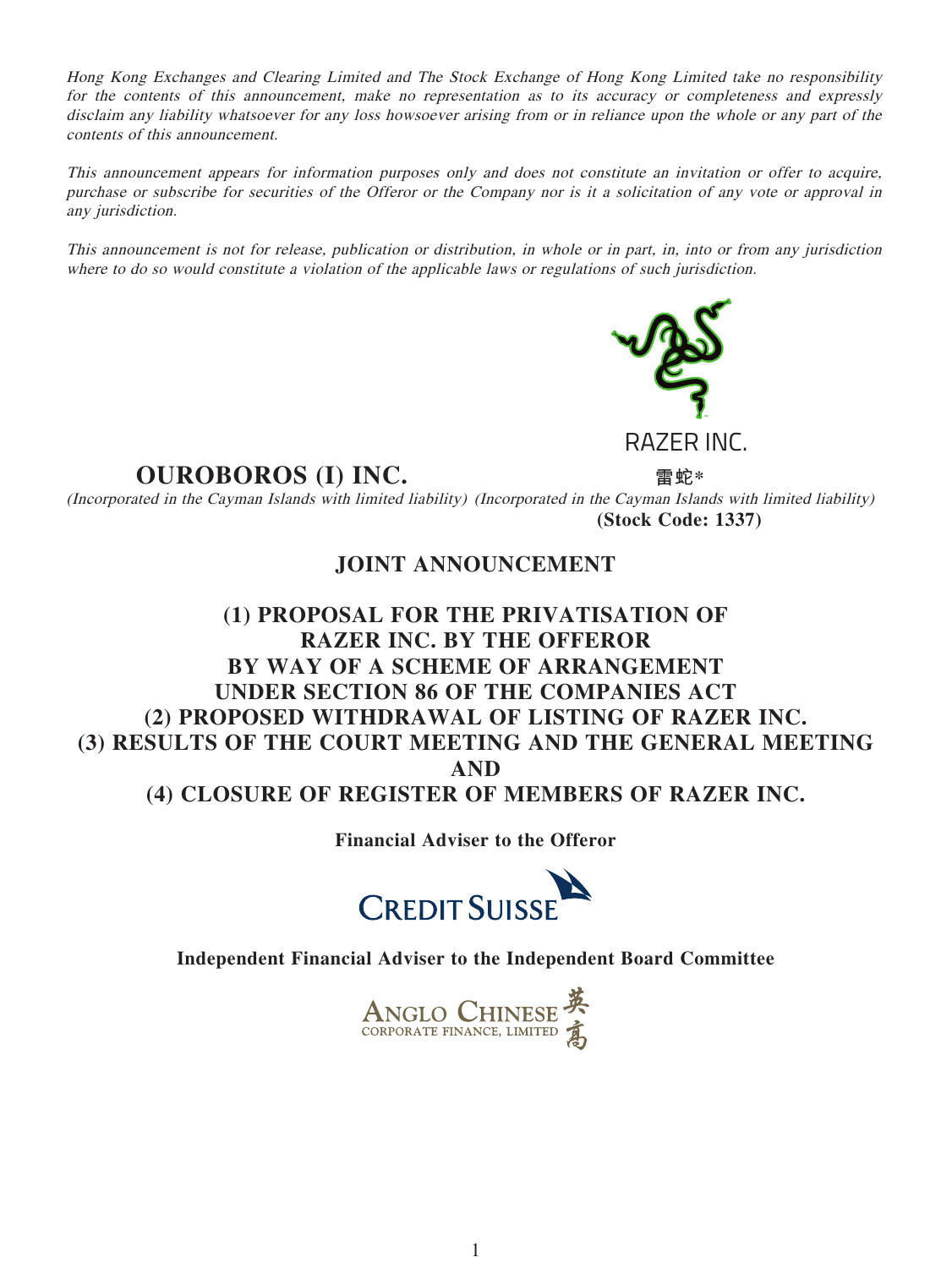Hong Kong Exchanges and Clearing Limited and The Stock Exchange of Hong Kong Limited take no responsibility for the contents of this announcement, make no representation as to its accuracy or completeness and expressly disclaim any liability whatsoever for any loss howsoever arising from or in reliance upon the whole or any part of the contents of this announcement.

This announcement appears for information purposes only and does not constitute an invitation or offer to acquire, purchase or subscribe for securities of the Offeror or the Company nor is it a solicitation of any vote or approval in any jurisdiction.

This announcement is not for release, publication or distribution, in whole or in part, in, into or from any jurisdiction where to do so would constitute a violation of the applicable laws or regulations of such jurisdiction.



# **OUROBOROS (I) INC. 雷蛇\***

(Incorporated in the Cayman Islands with limited liability) (Incorporated in the Cayman Islands with limited liability) **(Stock Code: 1337)**

## **JOINT ANNOUNCEMENT**

# **(1) PROPOSAL FOR THE PRIVATISATION OF RAZER INC. BY THE OFFEROR BY WAY OF A SCHEME OF ARRANGEMENT UNDER SECTION 86 OF THE COMPANIES ACT (2) PROPOSED WITHDRAWAL OF LISTING OF RAZER INC. (3) RESULTS OF THE COURT MEETING AND THE GENERAL MEETING AND (4) CLOSURE OF REGISTER OF MEMBERS OF RAZER INC.**

**Financial Adviser to the Offeror**



**Independent Financial Adviser to the Independent Board Committee**

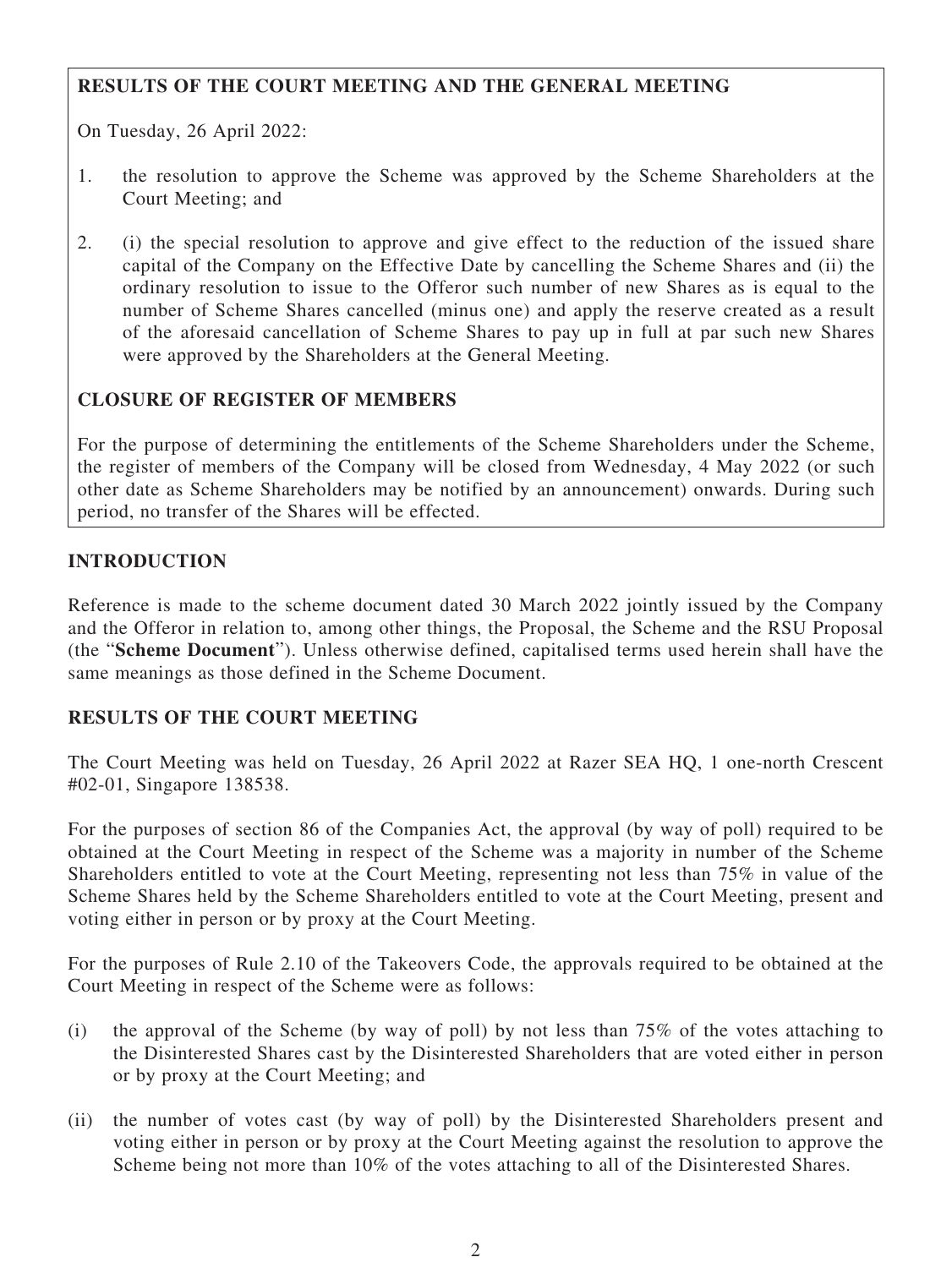### **RESULTS OF THE COURT MEETING AND THE GENERAL MEETING**

On Tuesday, 26 April 2022:

- 1. the resolution to approve the Scheme was approved by the Scheme Shareholders at the Court Meeting; and
- 2. (i) the special resolution to approve and give effect to the reduction of the issued share capital of the Company on the Effective Date by cancelling the Scheme Shares and (ii) the ordinary resolution to issue to the Offeror such number of new Shares as is equal to the number of Scheme Shares cancelled (minus one) and apply the reserve created as a result of the aforesaid cancellation of Scheme Shares to pay up in full at par such new Shares were approved by the Shareholders at the General Meeting.

### **CLOSURE OF REGISTER OF MEMBERS**

For the purpose of determining the entitlements of the Scheme Shareholders under the Scheme, the register of members of the Company will be closed from Wednesday, 4 May 2022 (or such other date as Scheme Shareholders may be notified by an announcement) onwards. During such period, no transfer of the Shares will be effected.

#### **INTRODUCTION**

Reference is made to the scheme document dated 30 March 2022 jointly issued by the Company and the Offeror in relation to, among other things, the Proposal, the Scheme and the RSU Proposal (the "**Scheme Document**"). Unless otherwise defined, capitalised terms used herein shall have the same meanings as those defined in the Scheme Document.

#### **RESULTS OF THE COURT MEETING**

The Court Meeting was held on Tuesday, 26 April 2022 at Razer SEA HQ, 1 one-north Crescent #02-01, Singapore 138538.

For the purposes of section 86 of the Companies Act, the approval (by way of poll) required to be obtained at the Court Meeting in respect of the Scheme was a majority in number of the Scheme Shareholders entitled to vote at the Court Meeting, representing not less than 75% in value of the Scheme Shares held by the Scheme Shareholders entitled to vote at the Court Meeting, present and voting either in person or by proxy at the Court Meeting.

For the purposes of Rule 2.10 of the Takeovers Code, the approvals required to be obtained at the Court Meeting in respect of the Scheme were as follows:

- (i) the approval of the Scheme (by way of poll) by not less than 75% of the votes attaching to the Disinterested Shares cast by the Disinterested Shareholders that are voted either in person or by proxy at the Court Meeting; and
- (ii) the number of votes cast (by way of poll) by the Disinterested Shareholders present and voting either in person or by proxy at the Court Meeting against the resolution to approve the Scheme being not more than 10% of the votes attaching to all of the Disinterested Shares.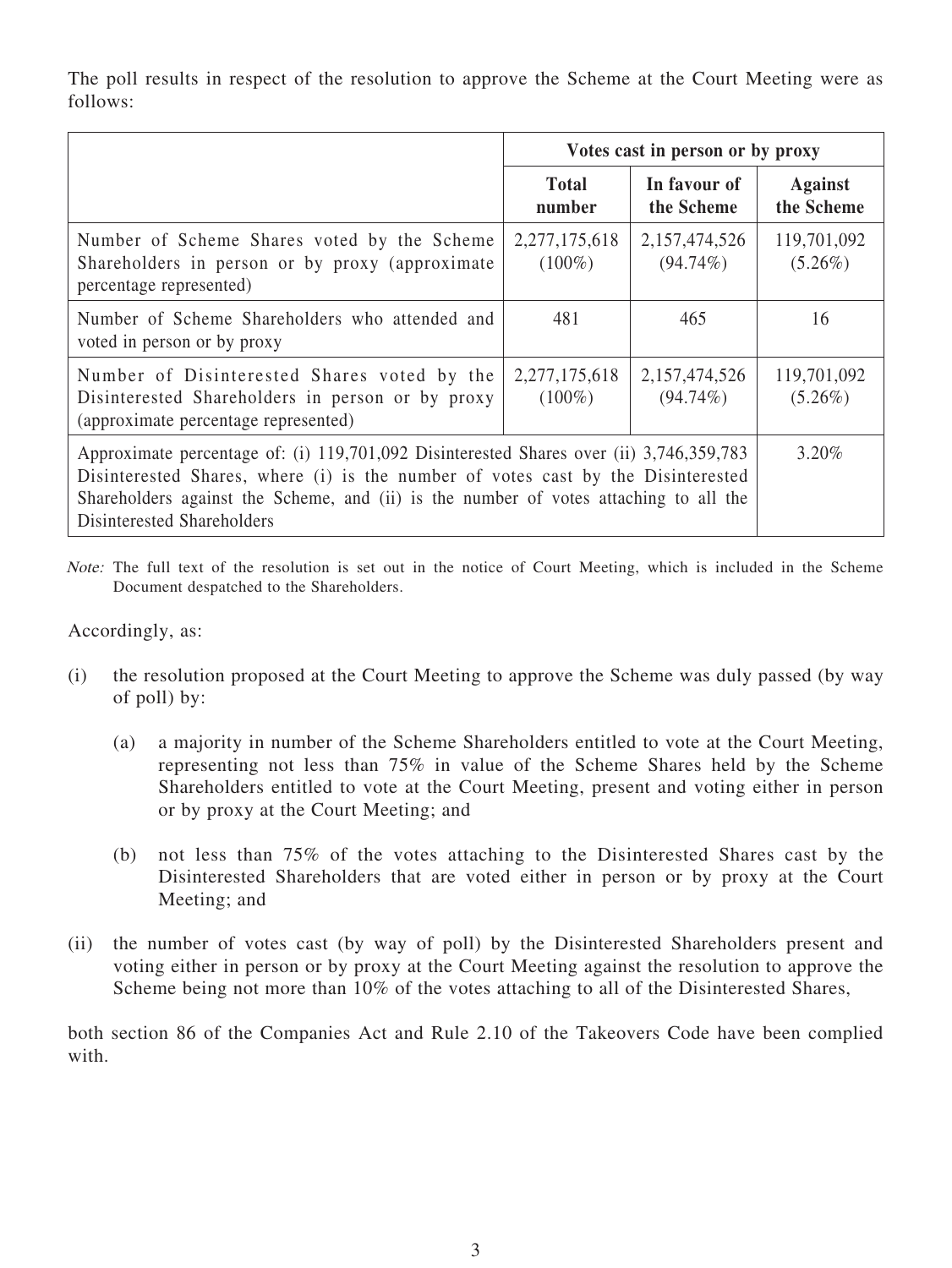The poll results in respect of the resolution to approve the Scheme at the Court Meeting were as follows:

|                                                                                                                                                                                                                                                                                                    | Votes cast in person or by proxy |                              |                              |
|----------------------------------------------------------------------------------------------------------------------------------------------------------------------------------------------------------------------------------------------------------------------------------------------------|----------------------------------|------------------------------|------------------------------|
|                                                                                                                                                                                                                                                                                                    | <b>Total</b><br>number           | In favour of<br>the Scheme   | <b>Against</b><br>the Scheme |
| Number of Scheme Shares voted by the Scheme<br>Shareholders in person or by proxy (approximate)<br>percentage represented)                                                                                                                                                                         | 2,277,175,618<br>$(100\%)$       | 2,157,474,526<br>$(94.74\%)$ | 119,701,092<br>$(5.26\%)$    |
| Number of Scheme Shareholders who attended and<br>voted in person or by proxy                                                                                                                                                                                                                      | 481                              | 465                          | 16                           |
| Number of Disinterested Shares voted by the<br>Disinterested Shareholders in person or by proxy<br>(approximate percentage represented)                                                                                                                                                            | 2,277,175,618<br>$(100\%)$       | 2,157,474,526<br>$(94.74\%)$ | 119,701,092<br>$(5.26\%)$    |
| Approximate percentage of: (i) 119,701,092 Disinterested Shares over (ii) 3,746,359,783<br>Disinterested Shares, where (i) is the number of votes cast by the Disinterested<br>Shareholders against the Scheme, and (ii) is the number of votes attaching to all the<br>Disinterested Shareholders |                                  |                              | $3.20\%$                     |

Note: The full text of the resolution is set out in the notice of Court Meeting, which is included in the Scheme Document despatched to the Shareholders.

#### Accordingly, as:

- (i) the resolution proposed at the Court Meeting to approve the Scheme was duly passed (by way of poll) by:
	- (a) a majority in number of the Scheme Shareholders entitled to vote at the Court Meeting, representing not less than 75% in value of the Scheme Shares held by the Scheme Shareholders entitled to vote at the Court Meeting, present and voting either in person or by proxy at the Court Meeting; and
	- (b) not less than 75% of the votes attaching to the Disinterested Shares cast by the Disinterested Shareholders that are voted either in person or by proxy at the Court Meeting; and
- (ii) the number of votes cast (by way of poll) by the Disinterested Shareholders present and voting either in person or by proxy at the Court Meeting against the resolution to approve the Scheme being not more than 10% of the votes attaching to all of the Disinterested Shares,

both section 86 of the Companies Act and Rule 2.10 of the Takeovers Code have been complied with.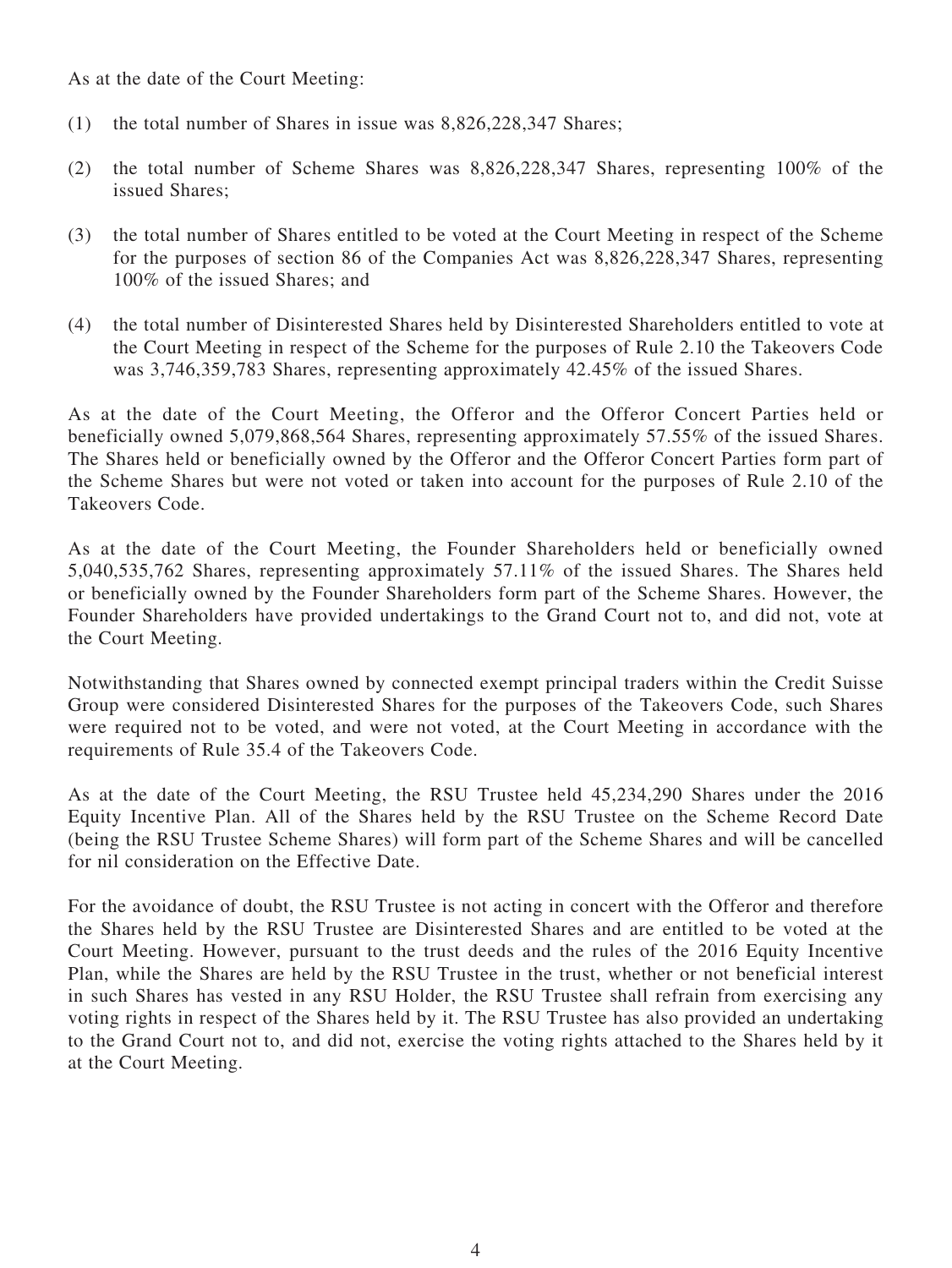As at the date of the Court Meeting:

- (1) the total number of Shares in issue was 8,826,228,347 Shares;
- (2) the total number of Scheme Shares was 8,826,228,347 Shares, representing 100% of the issued Shares;
- (3) the total number of Shares entitled to be voted at the Court Meeting in respect of the Scheme for the purposes of section 86 of the Companies Act was 8,826,228,347 Shares, representing 100% of the issued Shares; and
- (4) the total number of Disinterested Shares held by Disinterested Shareholders entitled to vote at the Court Meeting in respect of the Scheme for the purposes of Rule 2.10 the Takeovers Code was 3,746,359,783 Shares, representing approximately 42.45% of the issued Shares.

As at the date of the Court Meeting, the Offeror and the Offeror Concert Parties held or beneficially owned 5,079,868,564 Shares, representing approximately 57.55% of the issued Shares. The Shares held or beneficially owned by the Offeror and the Offeror Concert Parties form part of the Scheme Shares but were not voted or taken into account for the purposes of Rule 2.10 of the Takeovers Code.

As at the date of the Court Meeting, the Founder Shareholders held or beneficially owned 5,040,535,762 Shares, representing approximately 57.11% of the issued Shares. The Shares held or beneficially owned by the Founder Shareholders form part of the Scheme Shares. However, the Founder Shareholders have provided undertakings to the Grand Court not to, and did not, vote at the Court Meeting.

Notwithstanding that Shares owned by connected exempt principal traders within the Credit Suisse Group were considered Disinterested Shares for the purposes of the Takeovers Code, such Shares were required not to be voted, and were not voted, at the Court Meeting in accordance with the requirements of Rule 35.4 of the Takeovers Code.

As at the date of the Court Meeting, the RSU Trustee held 45,234,290 Shares under the 2016 Equity Incentive Plan. All of the Shares held by the RSU Trustee on the Scheme Record Date (being the RSU Trustee Scheme Shares) will form part of the Scheme Shares and will be cancelled for nil consideration on the Effective Date.

For the avoidance of doubt, the RSU Trustee is not acting in concert with the Offeror and therefore the Shares held by the RSU Trustee are Disinterested Shares and are entitled to be voted at the Court Meeting. However, pursuant to the trust deeds and the rules of the 2016 Equity Incentive Plan, while the Shares are held by the RSU Trustee in the trust, whether or not beneficial interest in such Shares has vested in any RSU Holder, the RSU Trustee shall refrain from exercising any voting rights in respect of the Shares held by it. The RSU Trustee has also provided an undertaking to the Grand Court not to, and did not, exercise the voting rights attached to the Shares held by it at the Court Meeting.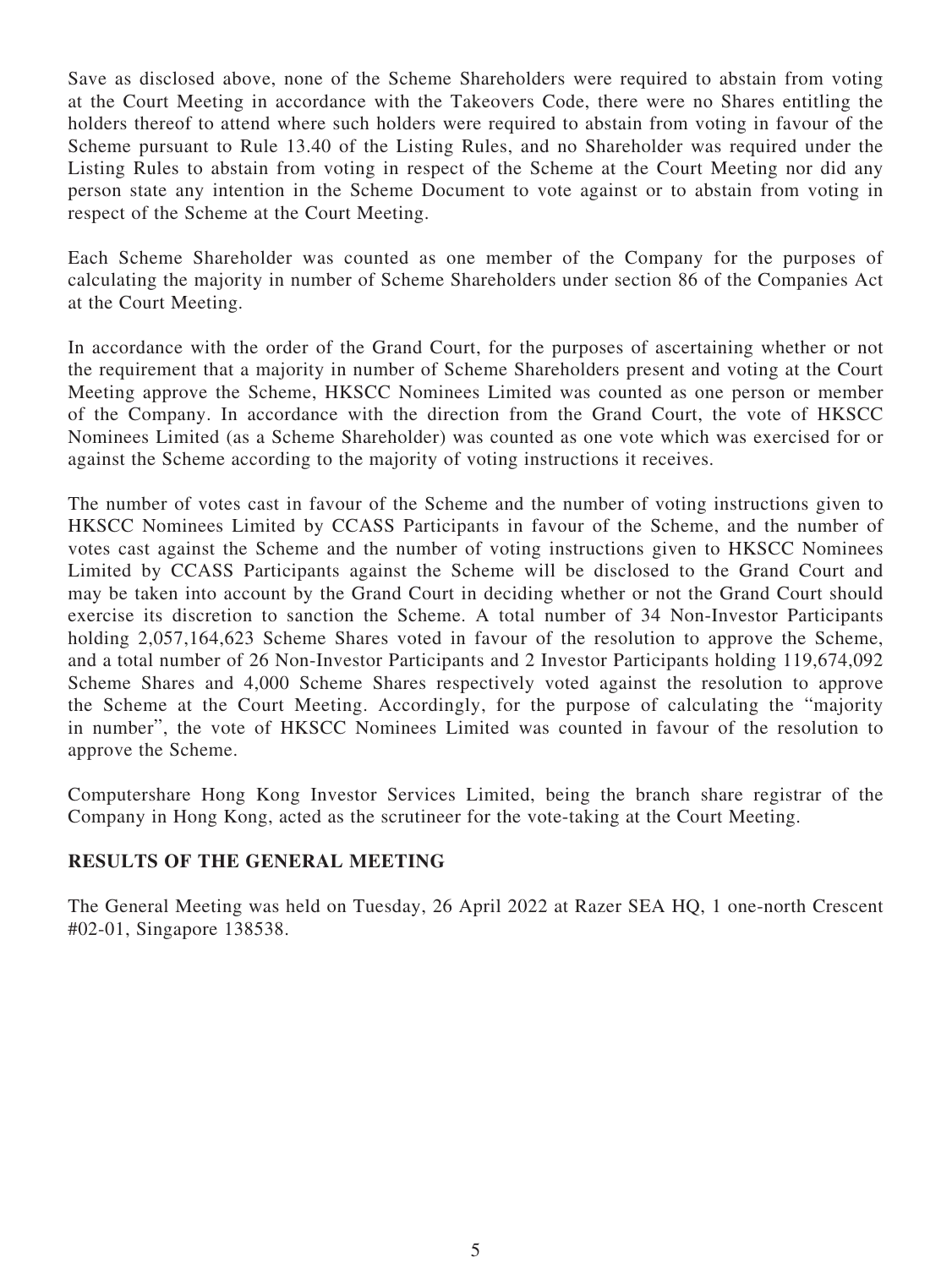Save as disclosed above, none of the Scheme Shareholders were required to abstain from voting at the Court Meeting in accordance with the Takeovers Code, there were no Shares entitling the holders thereof to attend where such holders were required to abstain from voting in favour of the Scheme pursuant to Rule 13.40 of the Listing Rules, and no Shareholder was required under the Listing Rules to abstain from voting in respect of the Scheme at the Court Meeting nor did any person state any intention in the Scheme Document to vote against or to abstain from voting in respect of the Scheme at the Court Meeting.

Each Scheme Shareholder was counted as one member of the Company for the purposes of calculating the majority in number of Scheme Shareholders under section 86 of the Companies Act at the Court Meeting.

In accordance with the order of the Grand Court, for the purposes of ascertaining whether or not the requirement that a majority in number of Scheme Shareholders present and voting at the Court Meeting approve the Scheme, HKSCC Nominees Limited was counted as one person or member of the Company. In accordance with the direction from the Grand Court, the vote of HKSCC Nominees Limited (as a Scheme Shareholder) was counted as one vote which was exercised for or against the Scheme according to the majority of voting instructions it receives.

The number of votes cast in favour of the Scheme and the number of voting instructions given to HKSCC Nominees Limited by CCASS Participants in favour of the Scheme, and the number of votes cast against the Scheme and the number of voting instructions given to HKSCC Nominees Limited by CCASS Participants against the Scheme will be disclosed to the Grand Court and may be taken into account by the Grand Court in deciding whether or not the Grand Court should exercise its discretion to sanction the Scheme. A total number of 34 Non-Investor Participants holding 2,057,164,623 Scheme Shares voted in favour of the resolution to approve the Scheme, and a total number of 26 Non-Investor Participants and 2 Investor Participants holding 119,674,092 Scheme Shares and 4,000 Scheme Shares respectively voted against the resolution to approve the Scheme at the Court Meeting. Accordingly, for the purpose of calculating the "majority in number", the vote of HKSCC Nominees Limited was counted in favour of the resolution to approve the Scheme.

Computershare Hong Kong Investor Services Limited, being the branch share registrar of the Company in Hong Kong, acted as the scrutineer for the vote-taking at the Court Meeting.

#### **RESULTS OF THE GENERAL MEETING**

The General Meeting was held on Tuesday, 26 April 2022 at Razer SEA HQ, 1 one-north Crescent #02-01, Singapore 138538.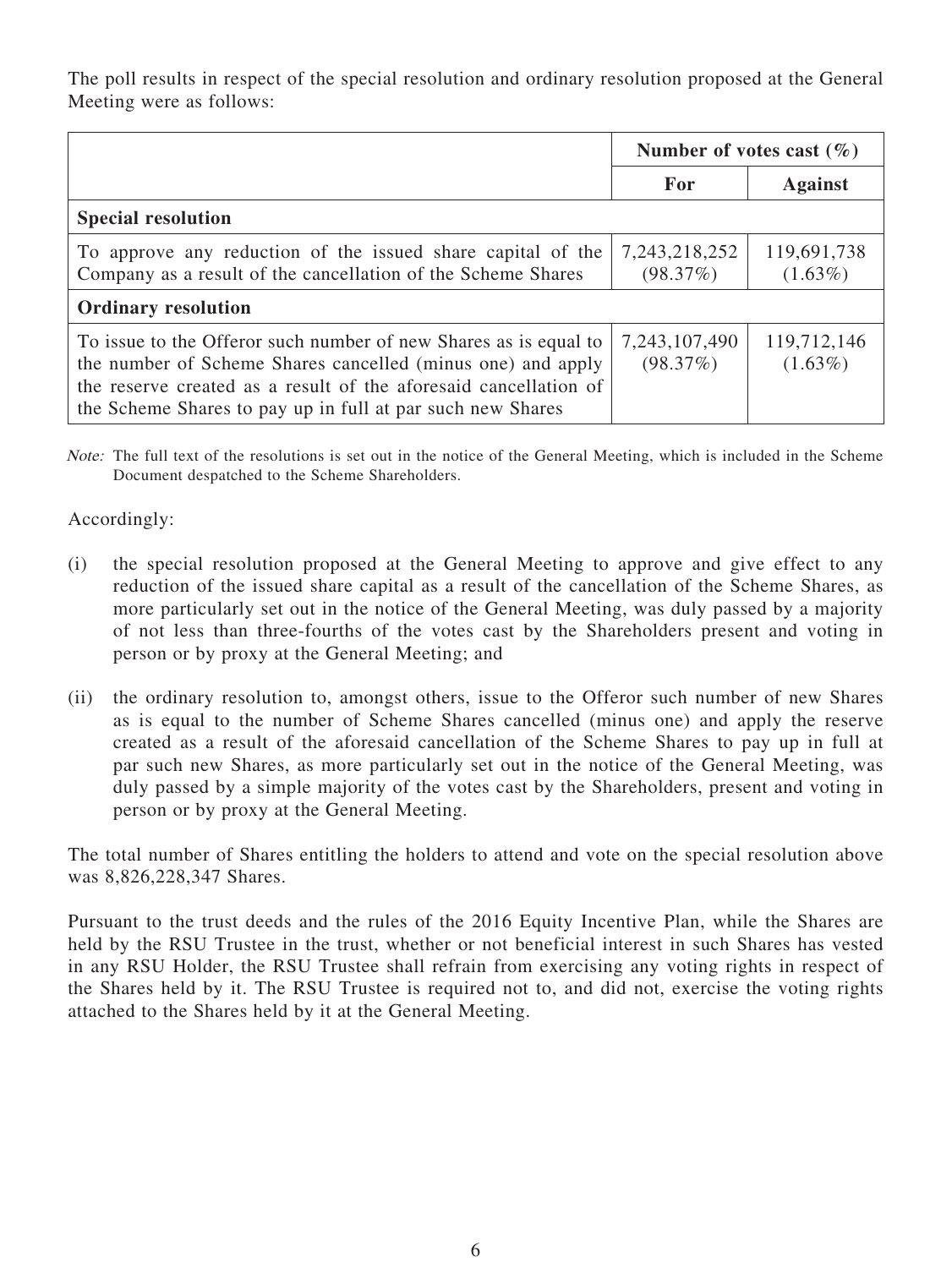The poll results in respect of the special resolution and ordinary resolution proposed at the General Meeting were as follows:

|                                                                                                                                                                                                                                                                   | Number of votes cast $(\% )$ |                           |  |  |
|-------------------------------------------------------------------------------------------------------------------------------------------------------------------------------------------------------------------------------------------------------------------|------------------------------|---------------------------|--|--|
|                                                                                                                                                                                                                                                                   | For                          | <b>Against</b>            |  |  |
| <b>Special resolution</b>                                                                                                                                                                                                                                         |                              |                           |  |  |
| To approve any reduction of the issued share capital of the<br>Company as a result of the cancellation of the Scheme Shares                                                                                                                                       | 7, 243, 218, 252<br>(98.37%) | 119,691,738<br>$(1.63\%)$ |  |  |
| <b>Ordinary resolution</b>                                                                                                                                                                                                                                        |                              |                           |  |  |
| To issue to the Offeror such number of new Shares as is equal to<br>the number of Scheme Shares cancelled (minus one) and apply<br>the reserve created as a result of the aforesaid cancellation of<br>the Scheme Shares to pay up in full at par such new Shares | 7,243,107,490<br>(98.37%)    | 119,712,146<br>$(1.63\%)$ |  |  |

Note: The full text of the resolutions is set out in the notice of the General Meeting, which is included in the Scheme Document despatched to the Scheme Shareholders.

Accordingly:

- (i) the special resolution proposed at the General Meeting to approve and give effect to any reduction of the issued share capital as a result of the cancellation of the Scheme Shares, as more particularly set out in the notice of the General Meeting, was duly passed by a majority of not less than three-fourths of the votes cast by the Shareholders present and voting in person or by proxy at the General Meeting; and
- (ii) the ordinary resolution to, amongst others, issue to the Offeror such number of new Shares as is equal to the number of Scheme Shares cancelled (minus one) and apply the reserve created as a result of the aforesaid cancellation of the Scheme Shares to pay up in full at par such new Shares, as more particularly set out in the notice of the General Meeting, was duly passed by a simple majority of the votes cast by the Shareholders, present and voting in person or by proxy at the General Meeting.

The total number of Shares entitling the holders to attend and vote on the special resolution above was 8,826,228,347 Shares.

Pursuant to the trust deeds and the rules of the 2016 Equity Incentive Plan, while the Shares are held by the RSU Trustee in the trust, whether or not beneficial interest in such Shares has vested in any RSU Holder, the RSU Trustee shall refrain from exercising any voting rights in respect of the Shares held by it. The RSU Trustee is required not to, and did not, exercise the voting rights attached to the Shares held by it at the General Meeting.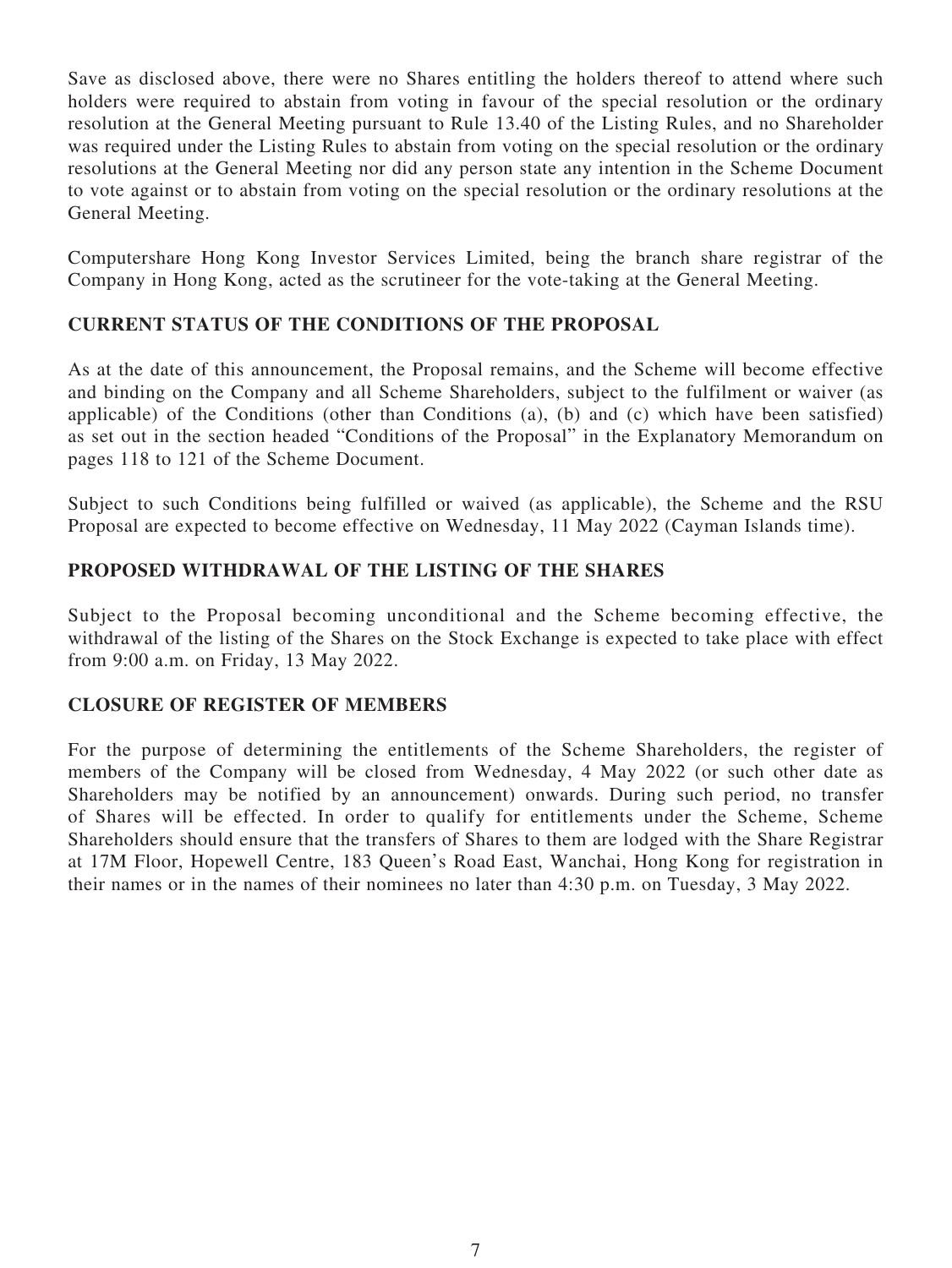Save as disclosed above, there were no Shares entitling the holders thereof to attend where such holders were required to abstain from voting in favour of the special resolution or the ordinary resolution at the General Meeting pursuant to Rule 13.40 of the Listing Rules, and no Shareholder was required under the Listing Rules to abstain from voting on the special resolution or the ordinary resolutions at the General Meeting nor did any person state any intention in the Scheme Document to vote against or to abstain from voting on the special resolution or the ordinary resolutions at the General Meeting.

Computershare Hong Kong Investor Services Limited, being the branch share registrar of the Company in Hong Kong, acted as the scrutineer for the vote-taking at the General Meeting.

### **CURRENT STATUS OF THE CONDITIONS OF THE PROPOSAL**

As at the date of this announcement, the Proposal remains, and the Scheme will become effective and binding on the Company and all Scheme Shareholders, subject to the fulfilment or waiver (as applicable) of the Conditions (other than Conditions (a), (b) and (c) which have been satisfied) as set out in the section headed "Conditions of the Proposal" in the Explanatory Memorandum on pages 118 to 121 of the Scheme Document.

Subject to such Conditions being fulfilled or waived (as applicable), the Scheme and the RSU Proposal are expected to become effective on Wednesday, 11 May 2022 (Cayman Islands time).

## **PROPOSED WITHDRAWAL OF THE LISTING OF THE SHARES**

Subject to the Proposal becoming unconditional and the Scheme becoming effective, the withdrawal of the listing of the Shares on the Stock Exchange is expected to take place with effect from 9:00 a.m. on Friday, 13 May 2022.

#### **CLOSURE OF REGISTER OF MEMBERS**

For the purpose of determining the entitlements of the Scheme Shareholders, the register of members of the Company will be closed from Wednesday, 4 May 2022 (or such other date as Shareholders may be notified by an announcement) onwards. During such period, no transfer of Shares will be effected. In order to qualify for entitlements under the Scheme, Scheme Shareholders should ensure that the transfers of Shares to them are lodged with the Share Registrar at 17M Floor, Hopewell Centre, 183 Queen's Road East, Wanchai, Hong Kong for registration in their names or in the names of their nominees no later than 4:30 p.m. on Tuesday, 3 May 2022.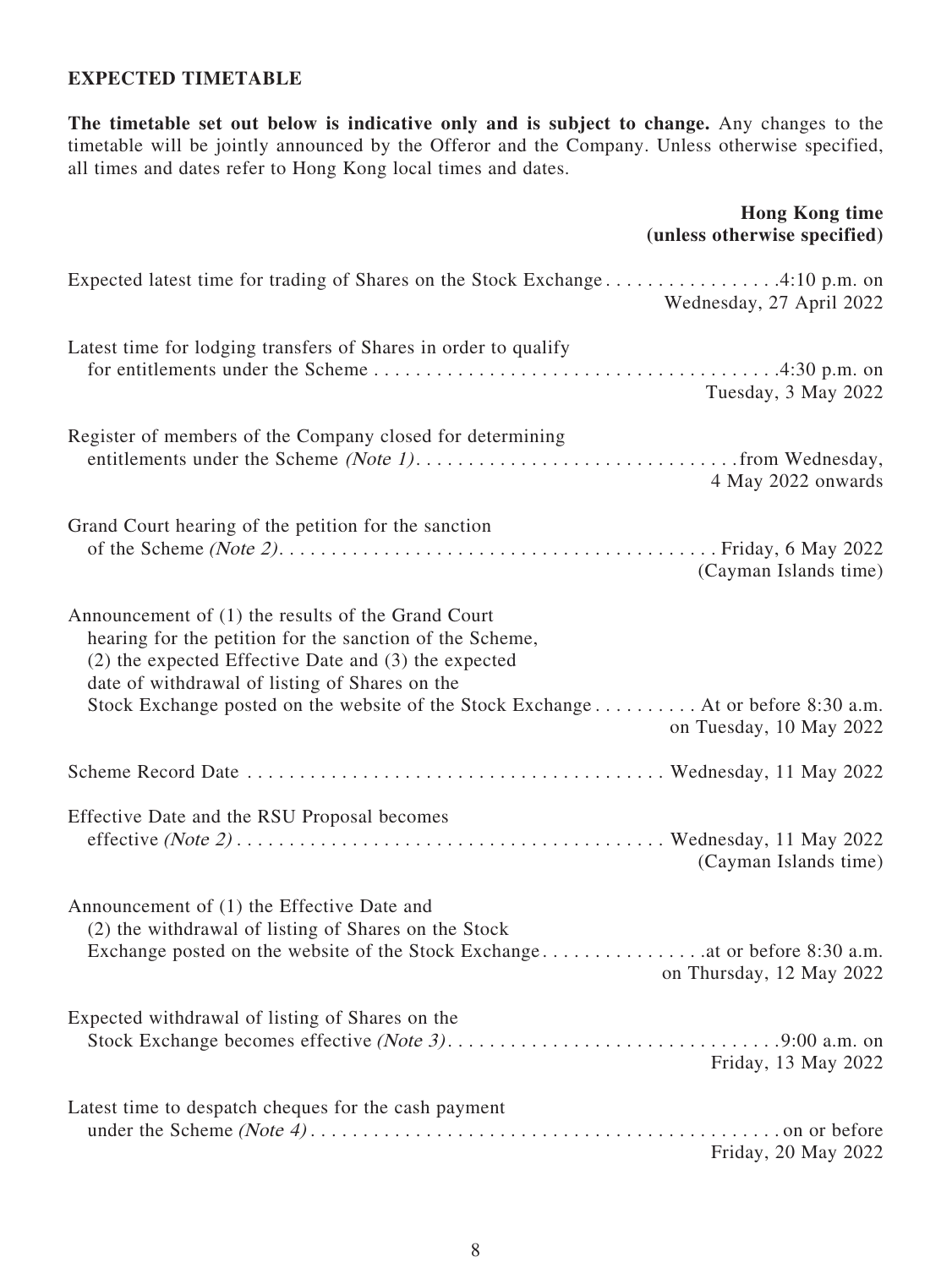#### **EXPECTED TIMETABLE**

**The timetable set out below is indicative only and is subject to change.** Any changes to the timetable will be jointly announced by the Offeror and the Company. Unless otherwise specified, all times and dates refer to Hong Kong local times and dates.

#### **Hong Kong time (unless otherwise specified)**

| Expected latest time for trading of Shares on the Stock Exchange4:10 p.m. on<br>Wednesday, 27 April 2022                                                                                                                                                                                                                                     |
|----------------------------------------------------------------------------------------------------------------------------------------------------------------------------------------------------------------------------------------------------------------------------------------------------------------------------------------------|
| Latest time for lodging transfers of Shares in order to qualify<br>Tuesday, 3 May 2022                                                                                                                                                                                                                                                       |
| Register of members of the Company closed for determining<br>4 May 2022 onwards                                                                                                                                                                                                                                                              |
| Grand Court hearing of the petition for the sanction<br>(Cayman Islands time)                                                                                                                                                                                                                                                                |
| Announcement of (1) the results of the Grand Court<br>hearing for the petition for the sanction of the Scheme,<br>$(2)$ the expected Effective Date and $(3)$ the expected<br>date of withdrawal of listing of Shares on the<br>Stock Exchange posted on the website of the Stock Exchange At or before 8:30 a.m.<br>on Tuesday, 10 May 2022 |
|                                                                                                                                                                                                                                                                                                                                              |
| Effective Date and the RSU Proposal becomes<br>(Cayman Islands time)                                                                                                                                                                                                                                                                         |
| Announcement of (1) the Effective Date and<br>(2) the withdrawal of listing of Shares on the Stock<br>on Thursday, 12 May 2022                                                                                                                                                                                                               |
| Expected withdrawal of listing of Shares on the<br>Friday, 13 May 2022                                                                                                                                                                                                                                                                       |
| Latest time to despatch cheques for the cash payment<br>Friday, 20 May 2022                                                                                                                                                                                                                                                                  |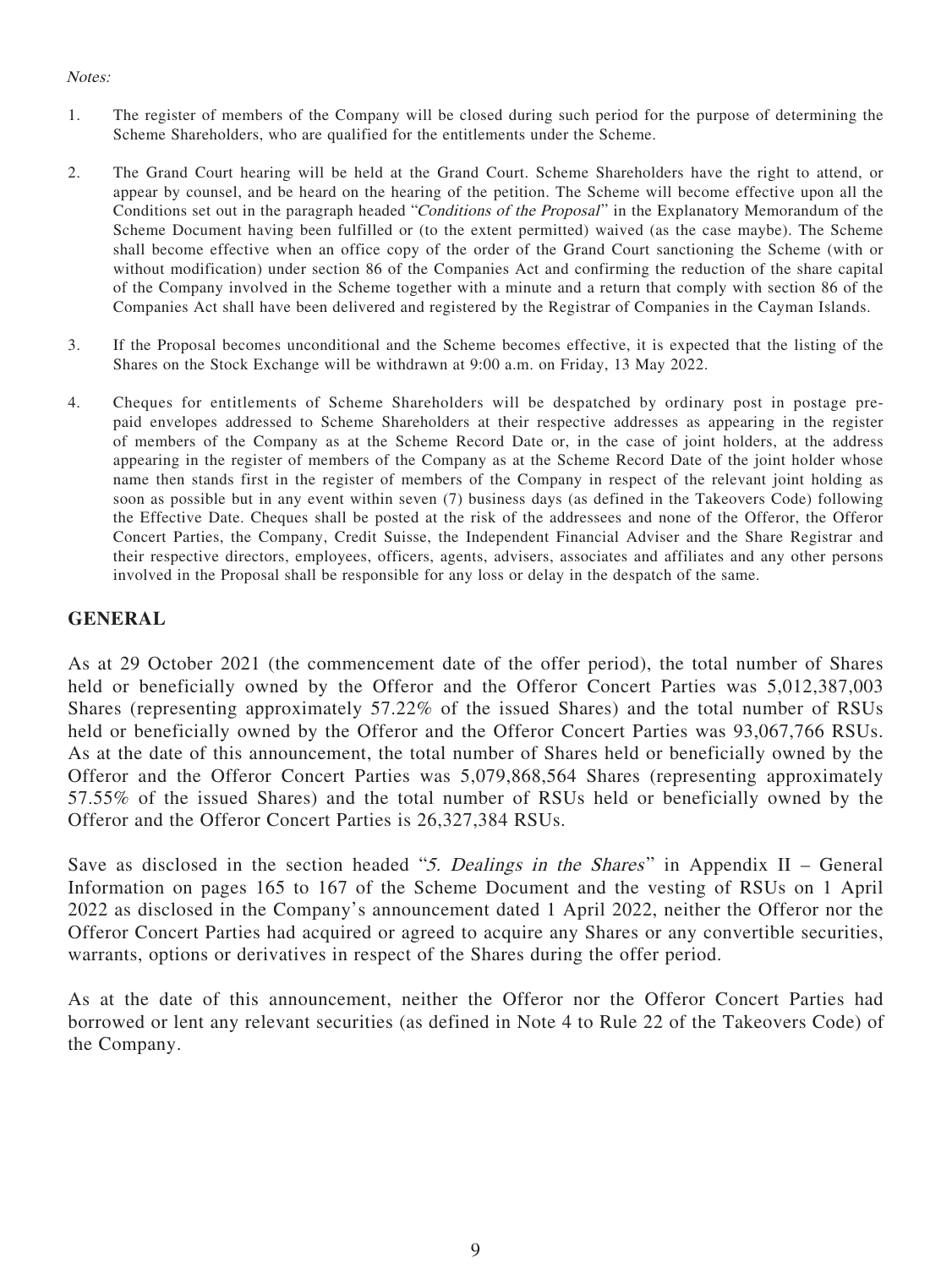#### Notes:

- 1. The register of members of the Company will be closed during such period for the purpose of determining the Scheme Shareholders, who are qualified for the entitlements under the Scheme.
- 2. The Grand Court hearing will be held at the Grand Court. Scheme Shareholders have the right to attend, or appear by counsel, and be heard on the hearing of the petition. The Scheme will become effective upon all the Conditions set out in the paragraph headed "Conditions of the Proposal" in the Explanatory Memorandum of the Scheme Document having been fulfilled or (to the extent permitted) waived (as the case maybe). The Scheme shall become effective when an office copy of the order of the Grand Court sanctioning the Scheme (with or without modification) under section 86 of the Companies Act and confirming the reduction of the share capital of the Company involved in the Scheme together with a minute and a return that comply with section 86 of the Companies Act shall have been delivered and registered by the Registrar of Companies in the Cayman Islands.
- 3. If the Proposal becomes unconditional and the Scheme becomes effective, it is expected that the listing of the Shares on the Stock Exchange will be withdrawn at 9:00 a.m. on Friday, 13 May 2022.
- 4. Cheques for entitlements of Scheme Shareholders will be despatched by ordinary post in postage prepaid envelopes addressed to Scheme Shareholders at their respective addresses as appearing in the register of members of the Company as at the Scheme Record Date or, in the case of joint holders, at the address appearing in the register of members of the Company as at the Scheme Record Date of the joint holder whose name then stands first in the register of members of the Company in respect of the relevant joint holding as soon as possible but in any event within seven (7) business days (as defined in the Takeovers Code) following the Effective Date. Cheques shall be posted at the risk of the addressees and none of the Offeror, the Offeror Concert Parties, the Company, Credit Suisse, the Independent Financial Adviser and the Share Registrar and their respective directors, employees, officers, agents, advisers, associates and affiliates and any other persons involved in the Proposal shall be responsible for any loss or delay in the despatch of the same.

#### **GENERAL**

As at 29 October 2021 (the commencement date of the offer period), the total number of Shares held or beneficially owned by the Offeror and the Offeror Concert Parties was 5,012,387,003 Shares (representing approximately 57.22% of the issued Shares) and the total number of RSUs held or beneficially owned by the Offeror and the Offeror Concert Parties was 93,067,766 RSUs. As at the date of this announcement, the total number of Shares held or beneficially owned by the Offeror and the Offeror Concert Parties was 5,079,868,564 Shares (representing approximately 57.55% of the issued Shares) and the total number of RSUs held or beneficially owned by the Offeror and the Offeror Concert Parties is 26,327,384 RSUs.

Save as disclosed in the section headed "5. Dealings in the Shares" in Appendix II – General Information on pages 165 to 167 of the Scheme Document and the vesting of RSUs on 1 April 2022 as disclosed in the Company's announcement dated 1 April 2022, neither the Offeror nor the Offeror Concert Parties had acquired or agreed to acquire any Shares or any convertible securities, warrants, options or derivatives in respect of the Shares during the offer period.

As at the date of this announcement, neither the Offeror nor the Offeror Concert Parties had borrowed or lent any relevant securities (as defined in Note 4 to Rule 22 of the Takeovers Code) of the Company.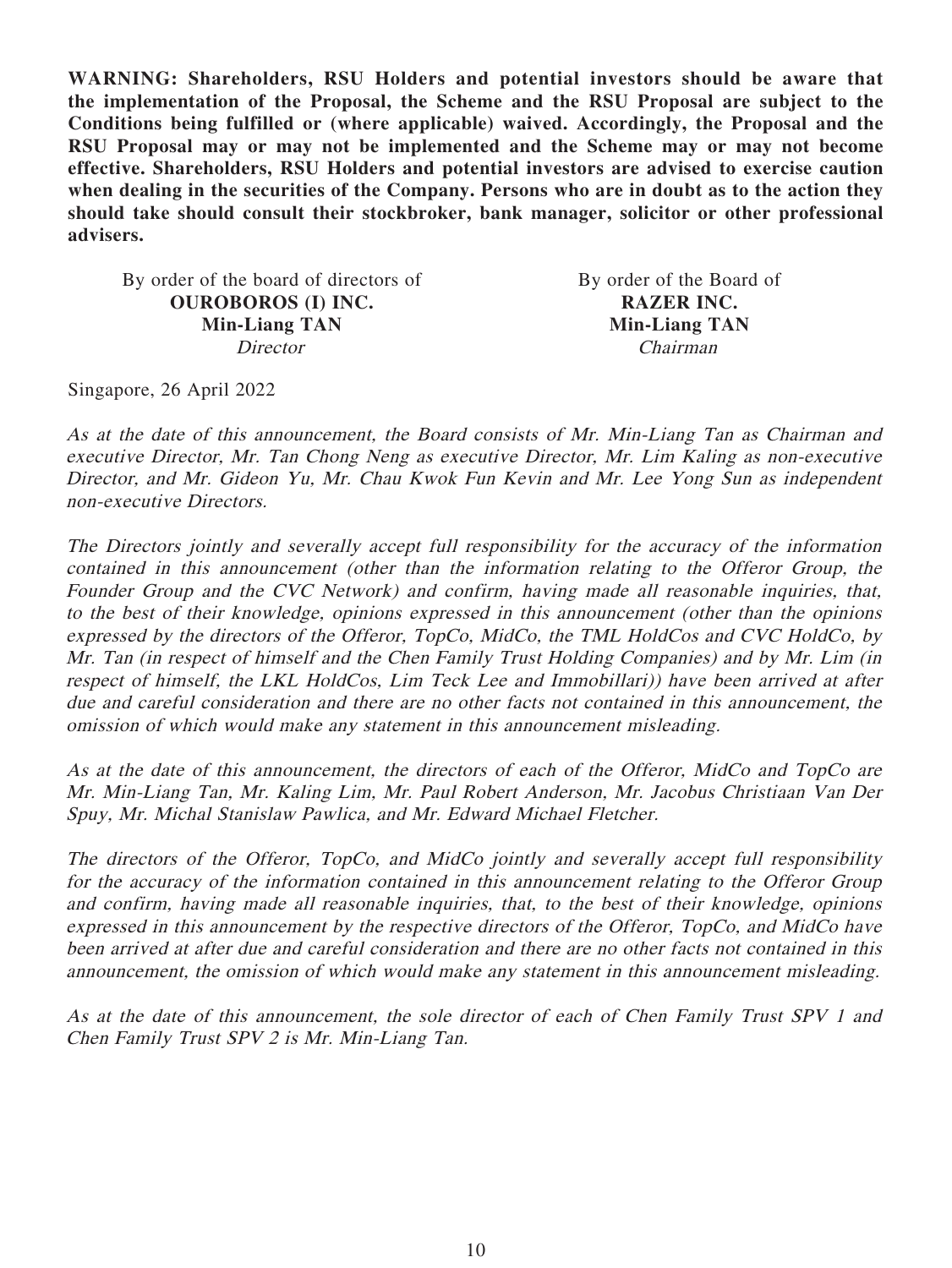**WARNING: Shareholders, RSU Holders and potential investors should be aware that the implementation of the Proposal, the Scheme and the RSU Proposal are subject to the Conditions being fulfilled or (where applicable) waived. Accordingly, the Proposal and the RSU Proposal may or may not be implemented and the Scheme may or may not become effective. Shareholders, RSU Holders and potential investors are advised to exercise caution when dealing in the securities of the Company. Persons who are in doubt as to the action they should take should consult their stockbroker, bank manager, solicitor or other professional advisers.**

By order of the board of directors of By order of the Board of **OUROBOROS (I) INC. RAZER INC. Min-Liang TAN Min-Liang TAN** Director Chairman

Singapore, 26 April 2022

As at the date of this announcement, the Board consists of Mr. Min-Liang Tan as Chairman and executive Director, Mr. Tan Chong Neng as executive Director, Mr. Lim Kaling as non-executive Director, and Mr. Gideon Yu, Mr. Chau Kwok Fun Kevin and Mr. Lee Yong Sun as independent non-executive Directors.

The Directors jointly and severally accept full responsibility for the accuracy of the information contained in this announcement (other than the information relating to the Offeror Group, the Founder Group and the CVC Network) and confirm, having made all reasonable inquiries, that, to the best of their knowledge, opinions expressed in this announcement (other than the opinions expressed by the directors of the Offeror, TopCo, MidCo, the TML HoldCos and CVC HoldCo, by Mr. Tan (in respect of himself and the Chen Family Trust Holding Companies) and by Mr. Lim (in respect of himself, the LKL HoldCos, Lim Teck Lee and Immobillari)) have been arrived at after due and careful consideration and there are no other facts not contained in this announcement, the omission of which would make any statement in this announcement misleading.

As at the date of this announcement, the directors of each of the Offeror, MidCo and TopCo are Mr. Min-Liang Tan, Mr. Kaling Lim, Mr. Paul Robert Anderson, Mr. Jacobus Christiaan Van Der Spuy, Mr. Michal Stanislaw Pawlica, and Mr. Edward Michael Fletcher.

The directors of the Offeror, TopCo, and MidCo jointly and severally accept full responsibility for the accuracy of the information contained in this announcement relating to the Offeror Group and confirm, having made all reasonable inquiries, that, to the best of their knowledge, opinions expressed in this announcement by the respective directors of the Offeror, TopCo, and MidCo have been arrived at after due and careful consideration and there are no other facts not contained in this announcement, the omission of which would make any statement in this announcement misleading.

As at the date of this announcement, the sole director of each of Chen Family Trust SPV 1 and Chen Family Trust SPV 2 is Mr. Min-Liang Tan.